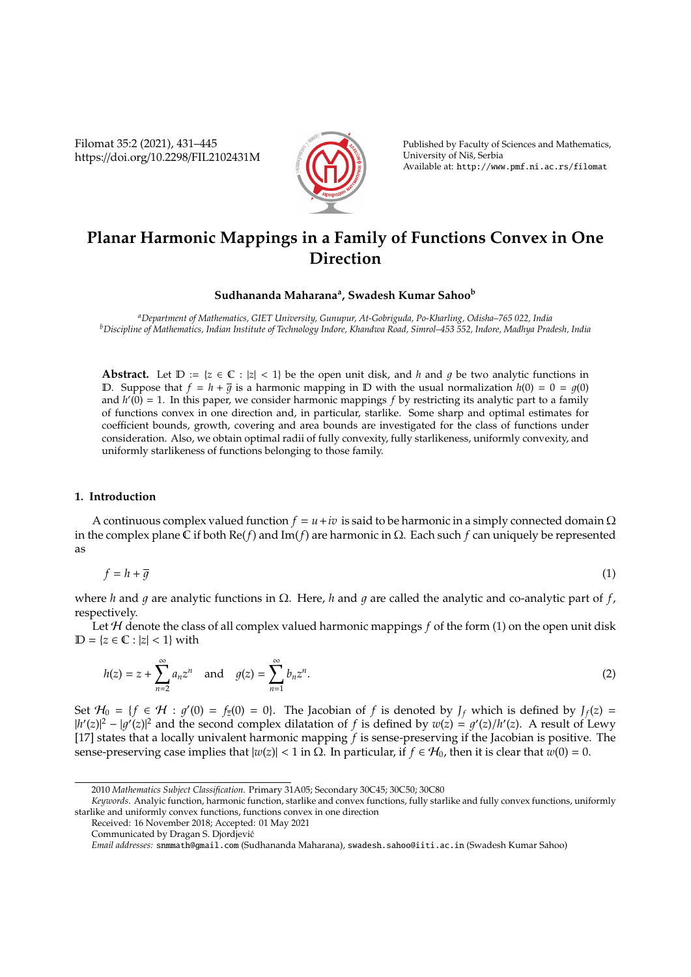Filomat 35:2 (2021), 431–445 https://doi.org/10.2298/FIL2102431M



Published by Faculty of Sciences and Mathematics, University of Niš, Serbia Available at: http://www.pmf.ni.ac.rs/filomat

# **Planar Harmonic Mappings in a Family of Functions Convex in One Direction**

# **Sudhananda Maharana<sup>a</sup> , Swadesh Kumar Sahoo<sup>b</sup>**

*<sup>a</sup>Department of Mathematics, GIET University, Gunupur, At-Gobriguda, Po-Kharling, Odisha–765 022, India <sup>b</sup>Discipline of Mathematics, Indian Institute of Technology Indore, Khandwa Road, Simrol–453 552, Indore, Madhya Pradesh, India*

**Abstract.** Let  $D := \{z \in \mathbb{C} : |z| < 1\}$  be the open unit disk, and *h* and *q* be two analytic functions in D. Suppose that  $f = h + \overline{q}$  is a harmonic mapping in D with the usual normalization  $h(0) = 0 = q(0)$ and  $h'(0) = 1$ . In this paper, we consider harmonic mappings f by restricting its analytic part to a family of functions convex in one direction and, in particular, starlike. Some sharp and optimal estimates for coefficient bounds, growth, covering and area bounds are investigated for the class of functions under consideration. Also, we obtain optimal radii of fully convexity, fully starlikeness, uniformly convexity, and uniformly starlikeness of functions belonging to those family.

#### **1. Introduction**

A continuous complex valued function  $f = u + iv$  is said to be harmonic in a simply connected domain  $\Omega$ in the complex plane C if both Re(*f*) and Im(*f*) are harmonic in Ω. Each such *f* can uniquely be represented as

$$
f = h + \overline{g} \tag{1}
$$

where *h* and q are analytic functions in  $\Omega$ . Here, *h* and q are called the analytic and co-analytic part of *f*, respectively.

Let  $H$  denote the class of all complex valued harmonic mappings  $f$  of the form (1) on the open unit disk  $D = \{z \in \mathbb{C} : |z| < 1\}$  with

$$
h(z) = z + \sum_{n=2}^{\infty} a_n z^n
$$
 and  $g(z) = \sum_{n=1}^{\infty} b_n z^n$ . (2)

Set  $H_0 = \{f \in H : g'(0) = f_{\overline{z}}(0) = 0\}$ . The Jacobian of *f* is denoted by  $J_f$  which is defined by  $J_f(z) =$  $|h'(z)|^2 - |g'(z)|^2$  and the second complex dilatation of *f* is defined by  $w(z) = g'(z)/h'(z)$ . A result of Lewy [17] states that a locally univalent harmonic mapping *f* is sense-preserving if the Jacobian is positive. The sense-preserving case implies that  $|w(z)|$  < 1 in Ω. In particular, if *f* ∈  $H_0$ , then it is clear that  $w(0) = 0$ .

<sup>2010</sup> *Mathematics Subject Classification*. Primary 31A05; Secondary 30C45; 30C50; 30C80

*Keywords*. Analyic function, harmonic function, starlike and convex functions, fully starlike and fully convex functions, uniformly starlike and uniformly convex functions, functions convex in one direction

Received: 16 November 2018; Accepted: 01 May 2021

Communicated by Dragan S. Djordjevic´

*Email addresses:* snmmath@gmail.com (Sudhananda Maharana), swadesh.sahoo@iiti.ac.in (Swadesh Kumar Sahoo)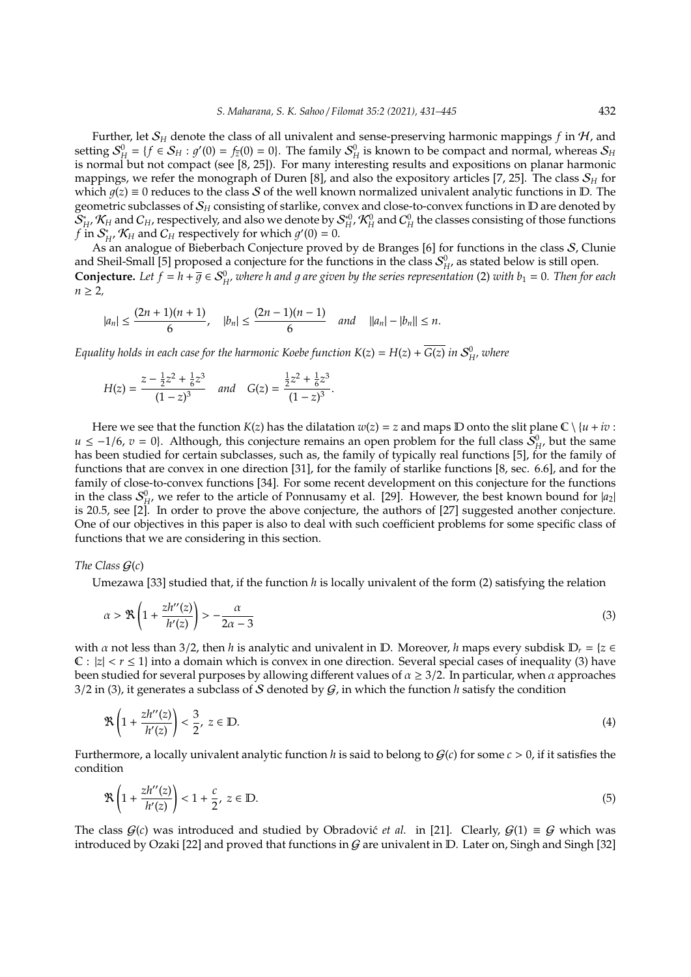Further, let S*<sup>H</sup>* denote the class of all univalent and sense-preserving harmonic mappings *f* in H, and setting  $S_H^0 = \{f \in S_H : g'(0) = f_{\overline{z}}(0) = 0\}$ . The family  $S_H^0$  is known to be compact and normal, whereas  $S_H$ is normal but not compact (see [8, 25]). For many interesting results and expositions on planar harmonic mappings, we refer the monograph of Duren [8], and also the expository articles [7, 25]. The class  $S_H$  for which  $q(z) \equiv 0$  reduces to the class S of the well known normalized univalent analytic functions in D. The geometric subclasses of S*<sup>H</sup>* consisting of starlike, convex and close-to-convex functions in D are denoted by S ∗  $H^*$ ,  $K_H$  and  $C_H$ , respectively, and also we denote by  $S_H^{*0}$ ,  $K_H^0$  and  $C_H^0$  the classes consisting of those functions  $f$  in  $\mathcal{S}_p^*$  $H$ <sup>*H*</sup>,  $K$ <sup>*H*</sup> and  $C$ <sup>*H*</sup> respectively for which  $g'(0) = 0$ .

As an analogue of Bieberbach Conjecture proved by de Branges [6] for functions in the class S, Clunie and Sheil-Small [5] proposed a conjecture for the functions in the class  $S_H^0$ , as stated below is still open. **Conjecture.** Let  $f = h + \overline{g} \in S_H^0$ , where h and g are given by the series representation (2) with  $b_1 = 0$ . Then for each  $n > 2$ 

$$
|a_n| \le \frac{(2n+1)(n+1)}{6}, \quad |b_n| \le \frac{(2n-1)(n-1)}{6} \quad \text{and} \quad ||a_n| - |b_n|| \le n.
$$

*Equality holds in each case for the harmonic Koebe function*  $K(z) = H(z) + \overline{G(z)}$  *in*  $S^0_{H'}$  *where* 

$$
H(z) = \frac{z - \frac{1}{2}z^2 + \frac{1}{6}z^3}{(1-z)^3} \quad \text{and} \quad G(z) = \frac{\frac{1}{2}z^2 + \frac{1}{6}z^3}{(1-z)^3}.
$$

Here we see that the function  $K(z)$  has the dilatation  $w(z) = z$  and maps  $D$  onto the slit plane  $C \setminus \{u + iv :$ *u* ≤ −1/6, *v* = 0}. Although, this conjecture remains an open problem for the full class  $\hat{S}_{H}^{0}$ , but the same has been studied for certain subclasses, such as, the family of typically real functions [5], for the family of functions that are convex in one direction [31], for the family of starlike functions [8, sec. 6.6], and for the family of close-to-convex functions [34]. For some recent development on this conjecture for the functions in the class  $S_{H}^{0}$ , we refer to the article of Ponnusamy et al. [29]. However, the best known bound for  $|a_2|$ is 20.5, see [2]. In order to prove the above conjecture, the authors of [27] suggested another conjecture. One of our objectives in this paper is also to deal with such coefficient problems for some specific class of functions that we are considering in this section.

#### *The Class* G(*c*)

Umezawa [33] studied that, if the function *h* is locally univalent of the form (2) satisfying the relation

$$
\alpha > \mathcal{R}\left(1 + \frac{z h''(z)}{h'(z)}\right) > -\frac{\alpha}{2\alpha - 3} \tag{3}
$$

with  $\alpha$  not less than 3/2, then *h* is analytic and univalent in D. Moreover, *h* maps every subdisk  $D_r = \{z \in$  $C: |z| < r \le 1$ } into a domain which is convex in one direction. Several special cases of inequality (3) have been studied for several purposes by allowing different values of  $\alpha \geq 3/2$ . In particular, when  $\alpha$  approaches  $3/2$  in (3), it generates a subclass of S denoted by  $G$ , in which the function *h* satisfy the condition

$$
\Re\left(1+\frac{zh''(z)}{h'(z)}\right)<\frac{3}{2},\ z\in\mathbb{D}.\tag{4}
$$

Furthermore, a locally univalent analytic function *h* is said to belong to  $G(c)$  for some  $c > 0$ , if it satisfies the condition

$$
\mathcal{R}\left(1+\frac{zh''(z)}{h'(z)}\right)<1+\frac{c}{2},\ z\in\mathbb{D}.\tag{5}
$$

The class  $G(c)$  was introduced and studied by Obradovic´ *et al.* in [21]. Clearly,  $G(1) \equiv G$  which was introduced by Ozaki [22] and proved that functions in  $G$  are univalent in D. Later on, Singh and Singh [32]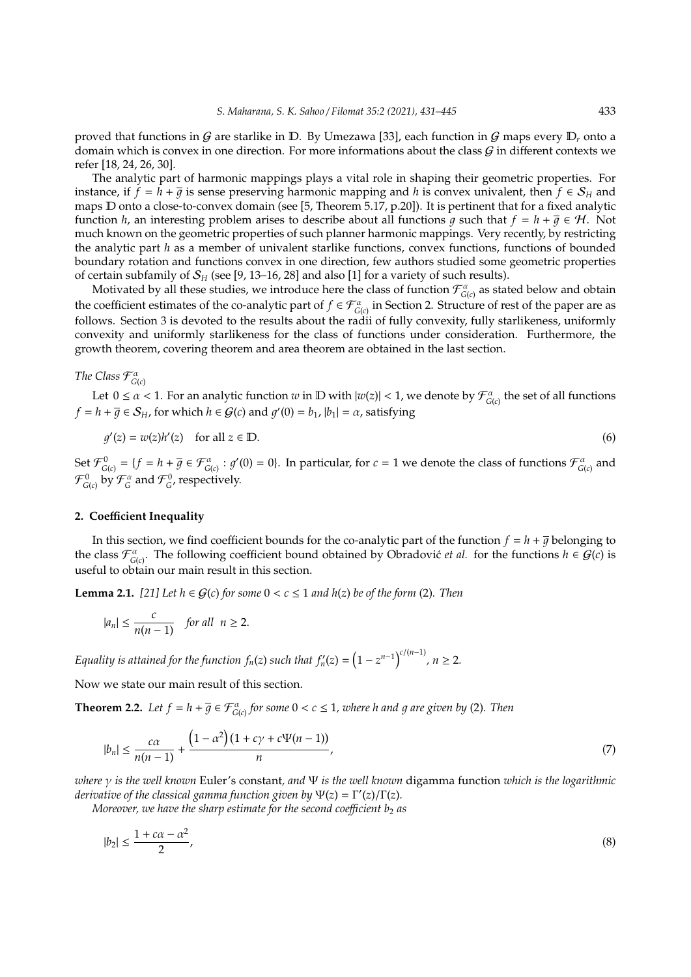proved that functions in G are starlike in D. By Umezawa [33], each function in G maps every  $D_r$  onto a domain which is convex in one direction. For more informations about the class  $G$  in different contexts we refer [18, 24, 26, 30].

The analytic part of harmonic mappings plays a vital role in shaping their geometric properties. For instance, if  $f = h + \overline{q}$  is sense preserving harmonic mapping and *h* is convex univalent, then  $f \in S_H$  and maps D onto a close-to-convex domain (see [5, Theorem 5.17, p.20]). It is pertinent that for a fixed analytic function *h*, an interesting problem arises to describe about all functions *g* such that  $f = h + \overline{g} \in H$ . Not much known on the geometric properties of such planner harmonic mappings. Very recently, by restricting the analytic part *h* as a member of univalent starlike functions, convex functions, functions of bounded boundary rotation and functions convex in one direction, few authors studied some geometric properties of certain subfamily of  $S_H$  (see [9, 13–16, 28] and also [1] for a variety of such results).

Motivated by all these studies, we introduce here the class of function  $\mathcal{F}^\alpha_{G(c)}$  as stated below and obtain the coefficient estimates of the co-analytic part of  $f \in \mathcal{F}_{G(c)}^{\alpha}$  in Section 2. Structure of rest of the paper are as follows. Section 3 is devoted to the results about the radii of fully convexity, fully starlikeness, uniformly convexity and uniformly starlikeness for the class of functions under consideration. Furthermore, the growth theorem, covering theorem and area theorem are obtained in the last section.

*The Class*  $\mathcal{F}_{G(c)}^{\alpha}$ 

Let  $0 \le \alpha < 1$ . For an analytic function  $w$  in  $D$  with  $|w(z)| < 1$ , we denote by  $\mathcal{F}_{G(c)}^{\alpha}$  the set of all functions  $f = h + \overline{g} \in S_H$ , for which  $h \in G(c)$  and  $g'(0) = b_1$ ,  $|b_1| = \alpha$ , satisfying

$$
g'(z) = w(z)h'(z) \quad \text{for all } z \in \mathbb{D}.\tag{6}
$$

Set  $\mathcal{F}_{G(c)}^0 = \{f = h + \overline{g} \in \mathcal{F}_{G(c)}^{\alpha} : g'(0) = 0\}$ . In particular, for  $c = 1$  we denote the class of functions  $\mathcal{F}_{G(c)}^{\alpha}$  and  $\mathcal{F}_{\mathsf{G}(c)}^0$  by  $\mathcal{F}_\mathsf{G}^\alpha$  and  $\mathcal{F}_\mathsf{G}^0$ , respectively.

## **2. Coe**ffi**cient Inequality**

In this section, we find coefficient bounds for the co-analytic part of the function  $f = h + \overline{g}$  belonging to the class  $\mathcal{F}_{G(c)}^{\alpha}$ . The following coefficient bound obtained by Obradovic´ *et al.* for the functions  $h \in \mathcal{G}(c)$  is useful to obtain our main result in this section.

**Lemma 2.1.** [21] Let  $h$  ∈  $G(c)$  for some  $0 < c \le 1$  and  $h(z)$  be of the form (2). Then

$$
|a_n| \le \frac{c}{n(n-1)}
$$
 for all  $n \ge 2$ .

*Equality is attained for the function*  $f_n(z)$  *such that*  $f'_n(z) = \left(1 - z^{n-1}\right)^{c/(n-1)}$ *,*  $n \ge 2$ *.* 

Now we state our main result of this section.

**Theorem 2.2.** Let  $f = h + \overline{g} \in \mathcal{F}_{G(c)}^{\alpha}$  for some  $0 < c \leq 1$ , where h and g are given by (2). Then

$$
|b_n| \le \frac{c\alpha}{n(n-1)} + \frac{\left(1 - \alpha^2\right)(1 + c\gamma + c\Psi(n-1))}{n},\tag{7}
$$

*where* γ *is the well known* Euler's constant*, and* Ψ *is the well known* digamma function *which is the logarithmic*  $d$ erivative of the classical gamma function given by  $\Psi(z) = \Gamma'(z)/\Gamma(z)$ .

*Moreover, we have the sharp estimate for the second coefficient b<sub>2</sub> as* 

$$
|b_2| \le \frac{1 + c\alpha - \alpha^2}{2},\tag{8}
$$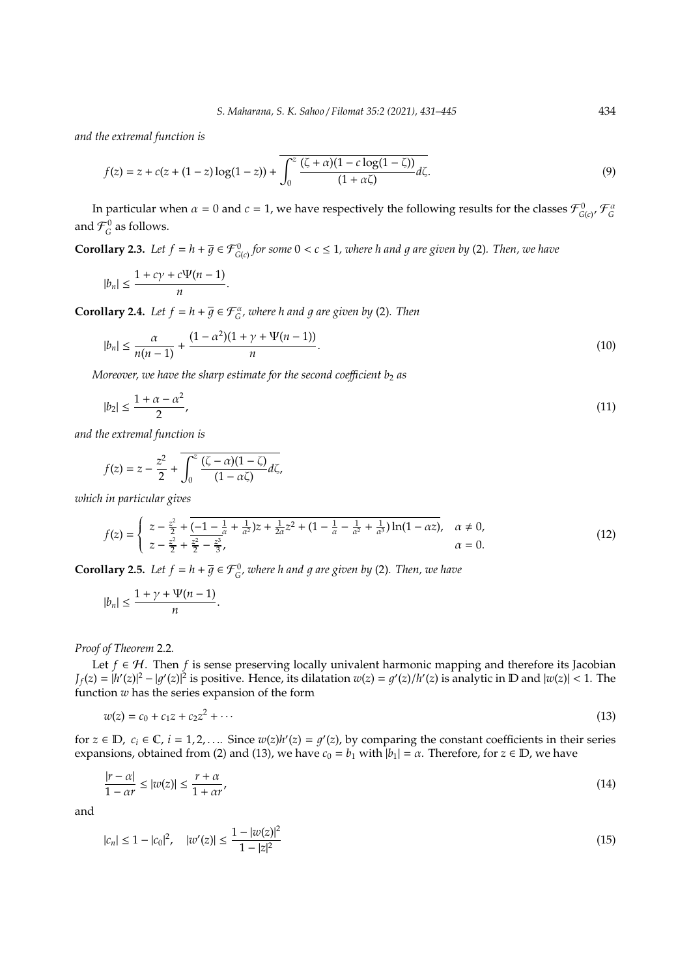*and the extremal function is*

$$
f(z) = z + c(z + (1 - z) \log(1 - z)) + \overline{\int_0^z \frac{(\zeta + \alpha)(1 - c \log(1 - \zeta))}{(1 + \alpha \zeta)}} d\zeta.
$$
 (9)

In particular when  $\alpha = 0$  and  $c = 1$ , we have respectively the following results for the classes  $\mathcal{F}_{G(c)}^0$ ,  $\mathcal{F}_G^a$ and  $\mathcal{F}_{G}^{0}$  as follows.

**Corollary 2.3.** Let  $f = h + \overline{g} \in \mathcal{F}_{G(c)}^0$  for some  $0 < c \leq 1$ , where h and g are given by (2). Then, we have

$$
|b_n| \le \frac{1+c\gamma + c\Psi(n-1)}{n}.
$$

**Corollary 2.4.** *Let*  $f = h + \overline{g} \in \mathcal{F}_G^{\alpha}$ , where h and g are given by (2). Then

$$
|b_n| \le \frac{\alpha}{n(n-1)} + \frac{(1-\alpha^2)(1+\gamma+\Psi(n-1))}{n}.
$$
\n(10)

*Moreover, we have the sharp estimate for the second coefficient*  $b_2$  *as* 

$$
|b_2| \le \frac{1+\alpha-\alpha^2}{2},\tag{11}
$$

*and the extremal function is*

$$
f(z) = z - \frac{z^2}{2} + \int_0^z \frac{(\zeta - \alpha)(1 - \zeta)}{(1 - \alpha \zeta)} d\zeta,
$$

*which in particular gives*

$$
f(z) = \begin{cases} z - \frac{z^2}{2} + \overline{(-1 - \frac{1}{\alpha} + \frac{1}{\alpha^2})z + \frac{1}{2\alpha}z^2 + (1 - \frac{1}{\alpha} - \frac{1}{\alpha^2} + \frac{1}{\alpha^3})\ln(1 - \alpha z)}, & \alpha \neq 0, \\ z - \frac{z^2}{2} + \frac{z^2}{2} - \frac{z^3}{3}, & \alpha = 0. \end{cases}
$$
(12)

**Corollary 2.5.** Let  $f = h + \overline{g} \in \mathcal{F}_{G}^{0}$ , where h and g are given by (2). Then, we have

$$
|b_n|\leq \frac{1+\gamma+\Psi(n-1)}{n}.
$$

*Proof of Theorem* 2.2*.*

Let *f* ∈ H. Then *f* is sense preserving locally univalent harmonic mapping and therefore its Jacobian  $J_f(z) = |h'(z)|^2 - |g'(z)|^2$  is positive. Hence, its dilatation  $w(z) = g'(z)/h'(z)$  is analytic in D and  $|w(z)| < 1$ . The function *w* has the series expansion of the form

$$
w(z) = c_0 + c_1 z + c_2 z^2 + \cdots \tag{13}
$$

for  $z \in \mathbb{D}$ ,  $c_i \in \mathbb{C}$ ,  $i = 1, 2, \ldots$  Since  $w(z)h'(z) = g'(z)$ , by comparing the constant coefficients in their series expansions, obtained from (2) and (13), we have  $c_0 = b_1$  with  $|b_1| = \alpha$ . Therefore, for  $z \in \mathbb{D}$ , we have

$$
\frac{|r - \alpha|}{1 - \alpha r} \le |w(z)| \le \frac{r + \alpha}{1 + \alpha r'},\tag{14}
$$

and

$$
|c_n| \le 1 - |c_0|^2, \quad |w'(z)| \le \frac{1 - |w(z)|^2}{1 - |z|^2} \tag{15}
$$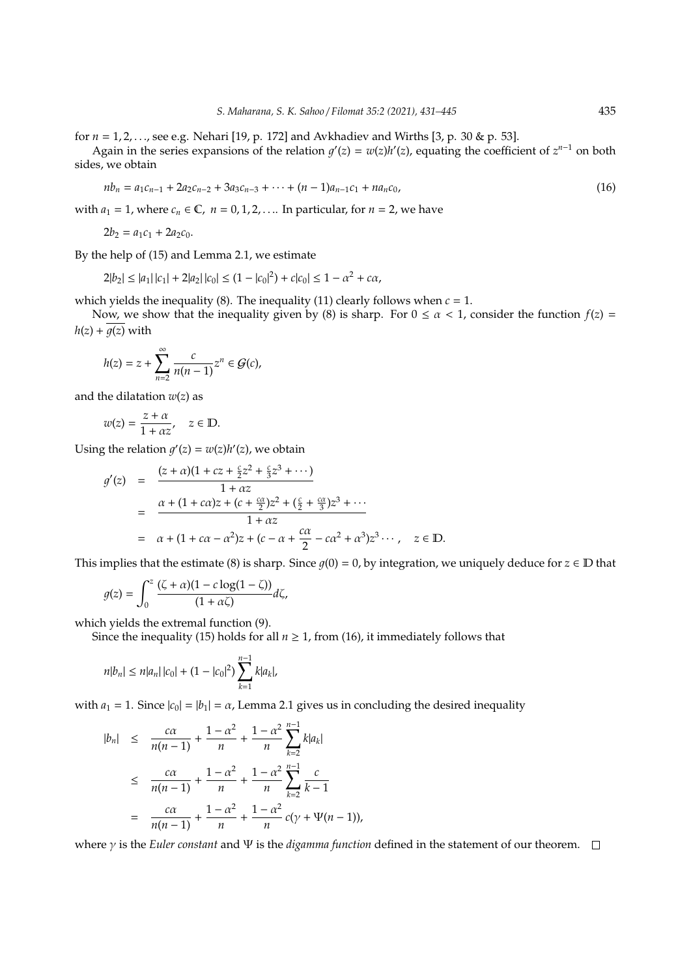for *n* = 1, 2, . . ., see e.g. Nehari [19, p. 172] and Avkhadiev and Wirths [3, p. 30 & p. 53].

Again in the series expansions of the relation  $g'(z) = w(z)h'(z)$ , equating the coefficient of  $z^{n-1}$  on both sides, we obtain

$$
nb_n = a_1c_{n-1} + 2a_2c_{n-2} + 3a_3c_{n-3} + \dots + (n-1)a_{n-1}c_1 + na_nc_0,
$$
\n(16)

with  $a_1 = 1$ , where  $c_n \in \mathbb{C}$ ,  $n = 0, 1, 2, \ldots$  In particular, for  $n = 2$ , we have

$$
2b_2 = a_1c_1 + 2a_2c_0.
$$

By the help of (15) and Lemma 2.1, we estimate

$$
2|b_2| \le |a_1| \, |c_1| + 2|a_2| \, |c_0| \le (1 - |c_0|^2) + c|c_0| \le 1 - \alpha^2 + c\alpha,
$$

which yields the inequality (8). The inequality (11) clearly follows when  $c = 1$ .

Now, we show that the inequality given by (8) is sharp. For  $0 \le \alpha < 1$ , consider the function  $f(z) =$  $h(z) + \overline{q(z)}$  with

$$
h(z)=z+\sum_{n=2}^\infty\frac{c}{n(n-1)}z^n\in\mathcal{G}(c),
$$

and the dilatation  $w(z)$  as

$$
w(z) = \frac{z + \alpha}{1 + \alpha z}, \quad z \in \mathbb{D}.
$$

Using the relation  $g'(z) = w(z)h'(z)$ , we obtain

$$
g'(z) = \frac{(z+\alpha)(1+cz+\frac{c}{2}z^{2}+\frac{c}{3}z^{3}+\cdots)}{1+\alpha z}
$$
  
= 
$$
\frac{\alpha+(1+c\alpha)z+(c+\frac{c\alpha}{2})z^{2}+(\frac{c}{2}+\frac{c\alpha}{3})z^{3}+\cdots}{1+\alpha z}
$$
  
= 
$$
\alpha+(1+c\alpha-\alpha^{2})z+(c-\alpha+\frac{c\alpha}{2}-c\alpha^{2}+\alpha^{3})z^{3}\cdots, \quad z \in \mathbb{D}.
$$

This implies that the estimate (8) is sharp. Since  $g(0) = 0$ , by integration, we uniquely deduce for  $z \in D$  that

$$
g(z) = \int_0^z \frac{(\zeta + \alpha)(1 - c \log(1 - \zeta))}{(1 + \alpha \zeta)} d\zeta,
$$

which yields the extremal function (9).

Since the inequality (15) holds for all  $n \geq 1$ , from (16), it immediately follows that

$$
n|b_n| \le n|a_n| |c_0| + (1 - |c_0|^2) \sum_{k=1}^{n-1} k|a_k|,
$$

with  $a_1 = 1$ . Since  $|c_0| = |b_1| = \alpha$ , Lemma 2.1 gives us in concluding the desired inequality

$$
|b_n| \leq \frac{c\alpha}{n(n-1)} + \frac{1-\alpha^2}{n} + \frac{1-\alpha^2}{n} \sum_{k=2}^{n-1} k |a_k|
$$
  
\n
$$
\leq \frac{c\alpha}{n(n-1)} + \frac{1-\alpha^2}{n} + \frac{1-\alpha^2}{n} \sum_{k=2}^{n-1} \frac{c}{k-1}
$$
  
\n
$$
= \frac{c\alpha}{n(n-1)} + \frac{1-\alpha^2}{n} + \frac{1-\alpha^2}{n} c(\gamma + \Psi(n-1)),
$$

where γ is the *Euler constant* and Ψ is the *digamma function* defined in the statement of our theorem.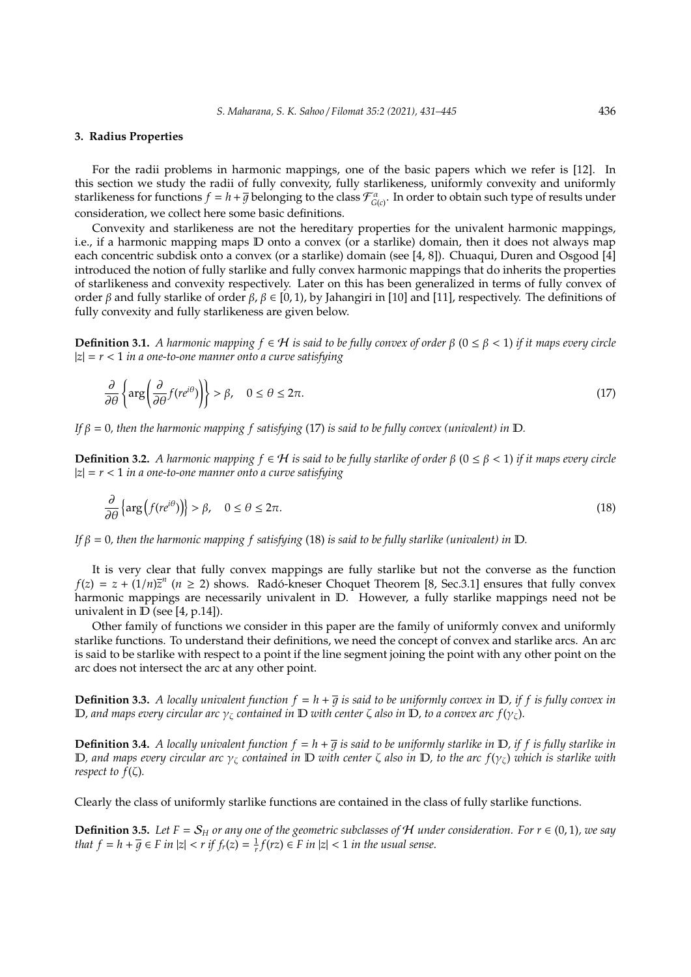#### **3. Radius Properties**

For the radii problems in harmonic mappings, one of the basic papers which we refer is [12]. In this section we study the radii of fully convexity, fully starlikeness, uniformly convexity and uniformly starlikeness for functions  $f = h + \overline{g}$  belonging to the class  $\mathcal{F}_{G(c)}^{\alpha}$ . In order to obtain such type of results under consideration, we collect here some basic definitions.

Convexity and starlikeness are not the hereditary properties for the univalent harmonic mappings, i.e., if a harmonic mapping maps D onto a convex (or a starlike) domain, then it does not always map each concentric subdisk onto a convex (or a starlike) domain (see [4, 8]). Chuaqui, Duren and Osgood [4] introduced the notion of fully starlike and fully convex harmonic mappings that do inherits the properties of starlikeness and convexity respectively. Later on this has been generalized in terms of fully convex of order β and fully starlike of order β,  $\beta \in [0, 1)$ , by Jahangiri in [10] and [11], respectively. The definitions of fully convexity and fully starlikeness are given below.

**Definition 3.1.** *A harmonic mapping*  $f ∈ H$  *is said to be fully convex of order*  $β$  ( $0 ≤ β < 1$ ) *if it maps every circle* |*z*| = *r* < 1 *in a one-to-one manner onto a curve satisfying*

$$
\frac{\partial}{\partial \theta} \left\{ \arg \left( \frac{\partial}{\partial \theta} f(re^{i\theta}) \right) \right\} > \beta, \quad 0 \le \theta \le 2\pi.
$$
\n(17)

*If*  $\beta = 0$ , then the harmonic mapping f satisfying (17) is said to be fully convex (univalent) in  $D$ .

**Definition 3.2.** *A harmonic mapping*  $f ∈ H$  *is said to be fully starlike of order*  $β$  (0 ≤  $β < 1$ ) *if it maps every circle* |*z*| = *r* < 1 *in a one-to-one manner onto a curve satisfying*

$$
\frac{\partial}{\partial \theta} \left\{ \arg \left( f(re^{i\theta}) \right) \right\} > \beta, \quad 0 \le \theta \le 2\pi. \tag{18}
$$

*If* β = 0*, then the harmonic mapping f satisfying* (18) *is said to be fully starlike (univalent) in* D*.*

It is very clear that fully convex mappings are fully starlike but not the converse as the function  $f(z) = z + (1/n)\overline{z}$ <sup>*n*</sup> ( $n \ge 2$ ) shows. Radó-kneser Choquet Theorem [8, Sec.3.1] ensures that fully convex harmonic mappings are necessarily univalent in  $\mathbb{D}$ . However, a fully starlike mappings need not be univalent in  $D$  (see [4, p.14]).

Other family of functions we consider in this paper are the family of uniformly convex and uniformly starlike functions. To understand their definitions, we need the concept of convex and starlike arcs. An arc is said to be starlike with respect to a point if the line segment joining the point with any other point on the arc does not intersect the arc at any other point.

**Definition 3.3.** *A locally univalent function*  $f = h + \overline{g}$  *is said to be uniformly convex in*  $D$ *, if f is fully convex in* D*, and maps every circular arc* γ<sup>ζ</sup> *contained in* D *with center* ζ *also in* D*, to a convex arc f*(γζ)*.*

**Definition 3.4.** *A locally univalent function*  $f = h + \overline{q}$  *is said to be uniformly starlike in*  $D$ *, if f is fully starlike in* D*, and maps every circular arc* γ<sup>ζ</sup> *contained in* D *with center* ζ *also in* D*, to the arc f*(γζ) *which is starlike with respect to*  $f(\zeta)$ *.* 

Clearly the class of uniformly starlike functions are contained in the class of fully starlike functions.

**Definition 3.5.** *Let*  $F = S_H$  *or any one of the geometric subclasses of*  $H$  *under consideration. For*  $r \in (0, 1)$ *, we say that*  $f = h + \overline{g} \in F$  *in*  $|z| < r$  *if*  $f_r(z) = \frac{1}{r} f(rz) \in F$  *in*  $|z| < 1$  *in the usual sense.*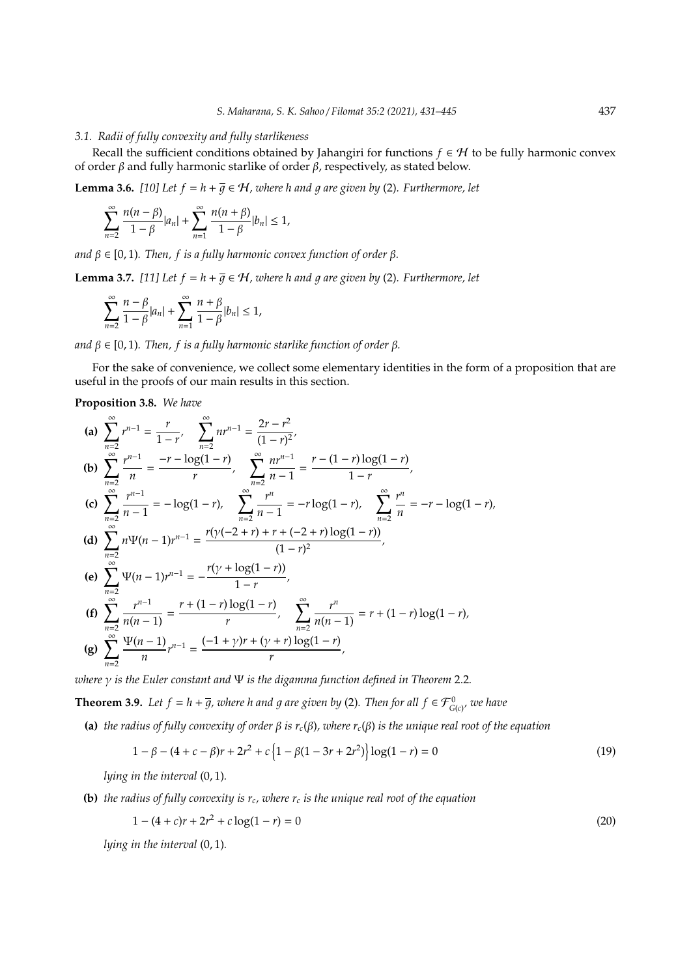### *3.1. Radii of fully convexity and fully starlikeness*

Recall the sufficient conditions obtained by Jahangiri for functions  $f \in H$  to be fully harmonic convex of order  $β$  and fully harmonic starlike of order  $β$ , respectively, as stated below.

**Lemma 3.6.** *[10] Let*  $f = h + \overline{g} \in H$ *, where h and g are given by (2). Furthermore, let* 

$$
\sum_{n=2}^{\infty} \frac{n(n-\beta)}{1-\beta} |a_n| + \sum_{n=1}^{\infty} \frac{n(n+\beta)}{1-\beta} |b_n| \le 1,
$$

 $\alpha$ *nd*  $\beta \in [0, 1)$ *. Then, f is a fully harmonic convex function of order*  $\beta$ *.* 

**Lemma 3.7.** [11] Let  $f = h + \overline{g} \in H$ , where h and g are given by (2). Furthermore, let

$$
\sum_{n=2}^{\infty} \frac{n-\beta}{1-\beta} |a_n| + \sum_{n=1}^{\infty} \frac{n+\beta}{1-\beta} |b_n| \leq 1,
$$

*and*  $β ∈ [0, 1)$ *. Then, f is a fully harmonic starlike function of order*  $β$ *.* 

For the sake of convenience, we collect some elementary identities in the form of a proposition that are useful in the proofs of our main results in this section.

### **Proposition 3.8.** *We have*

(a) 
$$
\sum_{n=2}^{\infty} r^{n-1} = \frac{r}{1-r}, \sum_{n=2}^{\infty} nr^{n-1} = \frac{2r-r^2}{(1-r)^2},
$$
  
\n(b) 
$$
\sum_{n=2}^{\infty} \frac{r^{n-1}}{n} = \frac{-r - \log(1-r)}{r}, \sum_{n=2}^{\infty} \frac{nr^{n-1}}{n-1} = \frac{r - (1-r) \log(1-r)}{1-r},
$$
  
\n(c) 
$$
\sum_{n=2}^{\infty} \frac{r^{n-1}}{n-1} = -\log(1-r), \sum_{n=2}^{\infty} \frac{r^n}{n-1} = -r \log(1-r), \sum_{n=2}^{\infty} \frac{r^n}{n} = -r - \log(1-r),
$$
  
\n(d) 
$$
\sum_{n=2}^{\infty} n\Psi(n-1)r^{n-1} = \frac{r(\gamma(-2+r) + r + (-2+r) \log(1-r))}{(1-r)^2},
$$
  
\n(e) 
$$
\sum_{n=2}^{\infty} \Psi(n-1)r^{n-1} = -\frac{r(\gamma + \log(1-r))}{1-r},
$$
  
\n(f) 
$$
\sum_{n=2}^{\infty} \frac{r^{n-1}}{n(n-1)} = \frac{r + (1-r) \log(1-r)}{r}, \sum_{n=2}^{\infty} \frac{r^n}{n(n-1)} = r + (1-r) \log(1-r),
$$
  
\n(g) 
$$
\sum_{n=2}^{\infty} \frac{\Psi(n-1)}{n} r^{n-1} = \frac{(-1+\gamma)r + (\gamma + r) \log(1-r)}{r},
$$

*where* γ *is the Euler constant and* Ψ *is the digamma function defined in Theorem* 2.2*.*

**Theorem 3.9.** Let  $f = h + \overline{g}$ , where h and g are given by (2). Then for all  $f \in \mathcal{F}_{G(c)}^0$ , we have

**(a)** *the radius of fully convexity of order* β *is rc*(β)*, where rc*(β) *is the unique real root of the equation*

$$
1 - \beta - (4 + c - \beta)r + 2r^2 + c\left\{1 - \beta(1 - 3r + 2r^2)\right\}\log(1 - r) = 0\tag{19}
$$

*lying in the interval* (0, 1)*.*

**(b)** the radius of fully convexity is  $r_c$ , where  $r_c$  is the unique real root of the equation

$$
1 - (4 + c)r + 2r2 + c\log(1 - r) = 0
$$
\n(20)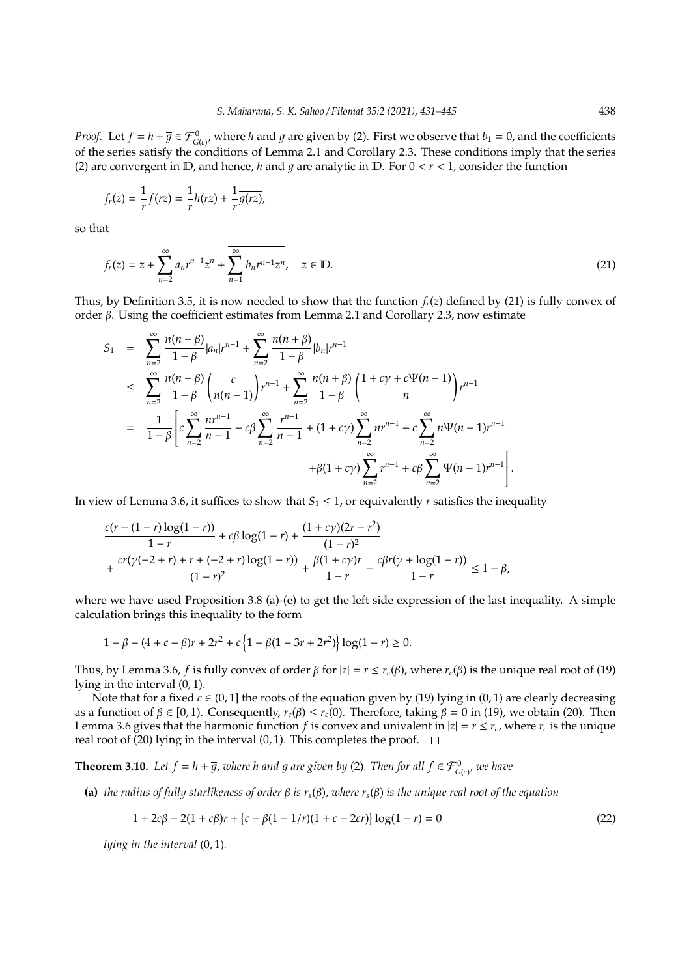*Proof.* Let  $f = h + \overline{g} \in \mathcal{F}_{G(c)}^0$ , where *h* and *g* are given by (2). First we observe that  $b_1 = 0$ , and the coefficients of the series satisfy the conditions of Lemma 2.1 and Corollary 2.3. These conditions imply that the series (2) are convergent in  $D$ , and hence, *h* and *g* are analytic in  $D$ . For  $0 < r < 1$ , consider the function

$$
f_r(z)=\frac{1}{r}f(rz)=\frac{1}{r}h(rz)+\frac{1}{r}\overline{g(rz)},
$$

so that

$$
f_r(z) = z + \sum_{n=2}^{\infty} a_n r^{n-1} z^n + \overline{\sum_{n=1}^{\infty} b_n r^{n-1} z^n}, \quad z \in \mathbb{D}.
$$
 (21)

Thus, by Definition 3.5, it is now needed to show that the function  $f_r(z)$  defined by (21) is fully convex of order β. Using the coefficient estimates from Lemma 2.1 and Corollary 2.3, now estimate

$$
S_1 = \sum_{n=2}^{\infty} \frac{n(n-\beta)}{1-\beta} |a_n| r^{n-1} + \sum_{n=2}^{\infty} \frac{n(n+\beta)}{1-\beta} |b_n| r^{n-1}
$$
  
\n
$$
\leq \sum_{n=2}^{\infty} \frac{n(n-\beta)}{1-\beta} \left( \frac{c}{n(n-1)} \right) r^{n-1} + \sum_{n=2}^{\infty} \frac{n(n+\beta)}{1-\beta} \left( \frac{1+c\gamma+c\Psi(n-1)}{n} \right) r^{n-1}
$$
  
\n
$$
= \frac{1}{1-\beta} \left[ c \sum_{n=2}^{\infty} \frac{nr^{n-1}}{n-1} - c\beta \sum_{n=2}^{\infty} \frac{r^{n-1}}{n-1} + (1+c\gamma) \sum_{n=2}^{\infty} nr^{n-1} + c \sum_{n=2}^{\infty} n\Psi(n-1)r^{n-1} + \beta(1+c\gamma) \sum_{n=2}^{\infty} r^{n-1} + c\beta \sum_{n=2}^{\infty} \Psi(n-1)r^{n-1} \right].
$$

In view of Lemma 3.6, it suffices to show that  $S_1 \leq 1$ , or equivalently *r* satisfies the inequality

$$
\begin{aligned} &\frac{c(r-(1-r)\log(1-r))}{1-r}+c\beta\log(1-r)+\frac{(1+c\gamma)(2r-r^2)}{(1-r)^2}\\ &+\frac{cr(\gamma(-2+r)+r+(-2+r)\log(1-r))}{(1-r)^2}+\frac{\beta(1+c\gamma)r}{1-r}-\frac{c\beta r(\gamma+\log(1-r))}{1-r}\leq 1-\beta, \end{aligned}
$$

where we have used Proposition 3.8 (a)-(e) to get the left side expression of the last inequality. A simple calculation brings this inequality to the form

$$
1 - \beta - (4 + c - \beta)r + 2r^2 + c\left\{1 - \beta(1 - 3r + 2r^2)\right\}\log(1 - r) \ge 0.
$$

Thus, by Lemma 3.6, *f* is fully convex of order  $\beta$  for  $|z| = r \le r_c(\beta)$ , where  $r_c(\beta)$  is the unique real root of (19) lying in the interval (0, 1).

Note that for a fixed  $c \in (0, 1]$  the roots of the equation given by (19) lying in (0, 1) are clearly decreasing as a function of  $β ∈ [0, 1)$ . Consequently,  $r_c(β) ≤ r_c(0)$ . Therefore, taking  $β = 0$  in (19), we obtain (20). Then Lemma 3.6 gives that the harmonic function *f* is convex and univalent in  $|z| = r \le r_c$ , where  $r_c$  is the unique real root of (20) lying in the interval (0, 1). This completes the proof.  $\Box$ 

**Theorem 3.10.** Let  $f = h + \overline{g}$ , where h and g are given by (2). Then for all  $f \in \mathcal{F}_{G(c)}^0$ , we have

**(a)** *the radius of fully starlikeness of order* β *is rs*(β)*, where rs*(β) *is the unique real root of the equation*

$$
1 + 2c\beta - 2(1 + c\beta)r + \{c - \beta(1 - 1/r)(1 + c - 2cr)\}\log(1 - r) = 0
$$
\n(22)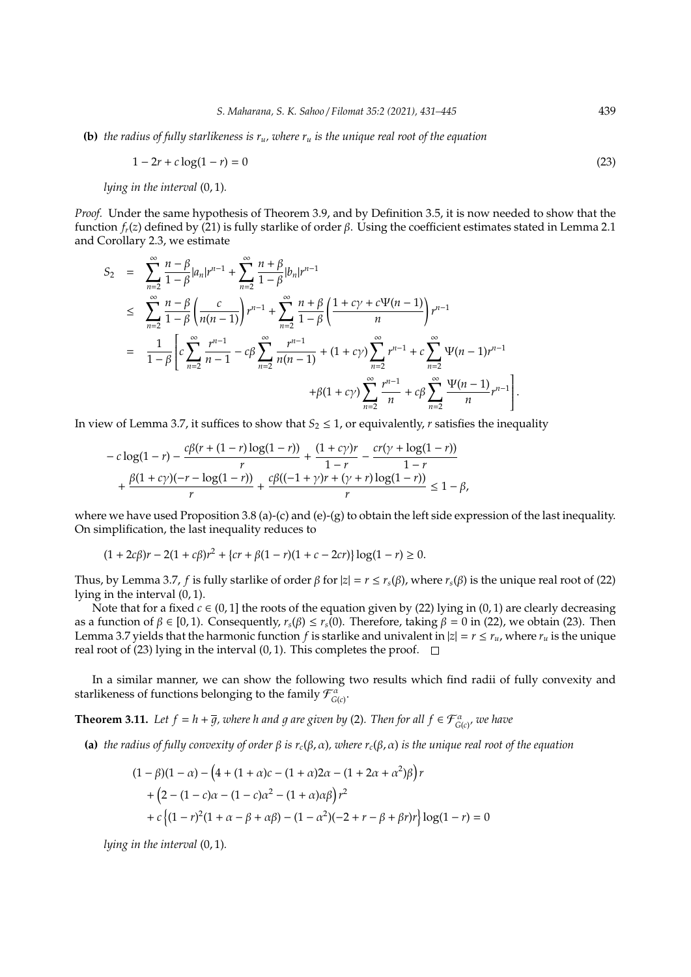**(b)** *the radius of fully starlikeness is ru, where r<sup>u</sup> is the unique real root of the equation*

$$
1 - 2r + c \log(1 - r) = 0 \tag{23}
$$

*lying in the interval* (0, 1)*.*

*Proof.* Under the same hypothesis of Theorem 3.9, and by Definition 3.5, it is now needed to show that the function *fr*(*z*) defined by (21) is fully starlike of order β. Using the coefficient estimates stated in Lemma 2.1 and Corollary 2.3, we estimate

$$
S_2 = \sum_{n=2}^{\infty} \frac{n-\beta}{1-\beta} |a_n| r^{n-1} + \sum_{n=2}^{\infty} \frac{n+\beta}{1-\beta} |b_n| r^{n-1}
$$
  
\n
$$
\leq \sum_{n=2}^{\infty} \frac{n-\beta}{1-\beta} \left( \frac{c}{n(n-1)} \right) r^{n-1} + \sum_{n=2}^{\infty} \frac{n+\beta}{1-\beta} \left( \frac{1+c\gamma+c\Psi(n-1)}{n} \right) r^{n-1}
$$
  
\n
$$
= \frac{1}{1-\beta} \left[ c \sum_{n=2}^{\infty} \frac{r^{n-1}}{n-1} - c\beta \sum_{n=2}^{\infty} \frac{r^{n-1}}{n(n-1)} + (1+c\gamma) \sum_{n=2}^{\infty} r^{n-1} + c \sum_{n=2}^{\infty} \frac{\Psi(n-1)}{n} r^{n-1} + c\beta \sum_{n=2}^{\infty} \frac{\Psi(n-1)}{n} r^{n-1} \right].
$$

In view of Lemma 3.7, it suffices to show that  $S_2 \leq 1$ , or equivalently, *r* satisfies the inequality

$$
- c \log(1-r) - \frac{c\beta(r + (1-r)\log(1-r))}{r} + \frac{(1+c\gamma)r}{1-r} - \frac{cr(\gamma + \log(1-r))}{1-r} + \frac{\beta(1+c\gamma)(-r - \log(1-r))}{r} + \frac{c\beta((-1+\gamma)r + (\gamma + r)\log(1-r))}{r} \le 1 - \beta,
$$

where we have used Proposition 3.8 (a)-(c) and (e)-(g) to obtain the left side expression of the last inequality. On simplification, the last inequality reduces to

$$
(1+2c\beta)r-2(1+c\beta)r^2+\{cr+\beta(1-r)(1+c-2cr)\}\log(1-r)\geq 0.
$$

Thus, by Lemma 3.7, *f* is fully starlike of order  $\beta$  for  $|z| = r \le r_s(\beta)$ , where  $r_s(\beta)$  is the unique real root of (22) lying in the interval (0, 1).

Note that for a fixed  $c \in (0, 1]$  the roots of the equation given by (22) lying in (0, 1) are clearly decreasing as a function of  $\beta \in [0, 1)$ . Consequently,  $r_s(\beta) \le r_s(0)$ . Therefore, taking  $\beta = 0$  in (22), we obtain (23). Then Lemma 3.7 yields that the harmonic function *f* is starlike and univalent in  $|z| = r \le r_u$ , where  $r_u$  is the unique real root of (23) lying in the interval  $(0, 1)$ . This completes the proof.  $\Box$ 

In a similar manner, we can show the following two results which find radii of fully convexity and starlikeness of functions belonging to the family  $\mathcal{F}_{G(c)}^{\alpha}$ .

**Theorem 3.11.** Let  $f = h + \overline{g}$ , where h and g are given by (2). Then for all  $f \in \mathcal{F}_{G(c)}^{\alpha}$  we have

**(a)** *the radius of fully convexity of order* β *is rc*(β, α)*, where rc*(β, α) *is the unique real root of the equation*

$$
(1 - \beta)(1 - \alpha) - (4 + (1 + \alpha)c - (1 + \alpha)2\alpha - (1 + 2\alpha + \alpha^2)\beta) r
$$
  
+ 
$$
(2 - (1 - c)\alpha - (1 - c)\alpha^2 - (1 + \alpha)\alpha\beta) r^2
$$
  
+ 
$$
c \{(1 - r)^2(1 + \alpha - \beta + \alpha\beta) - (1 - \alpha^2)(-2 + r - \beta + \beta r)r\} \log(1 - r) = 0
$$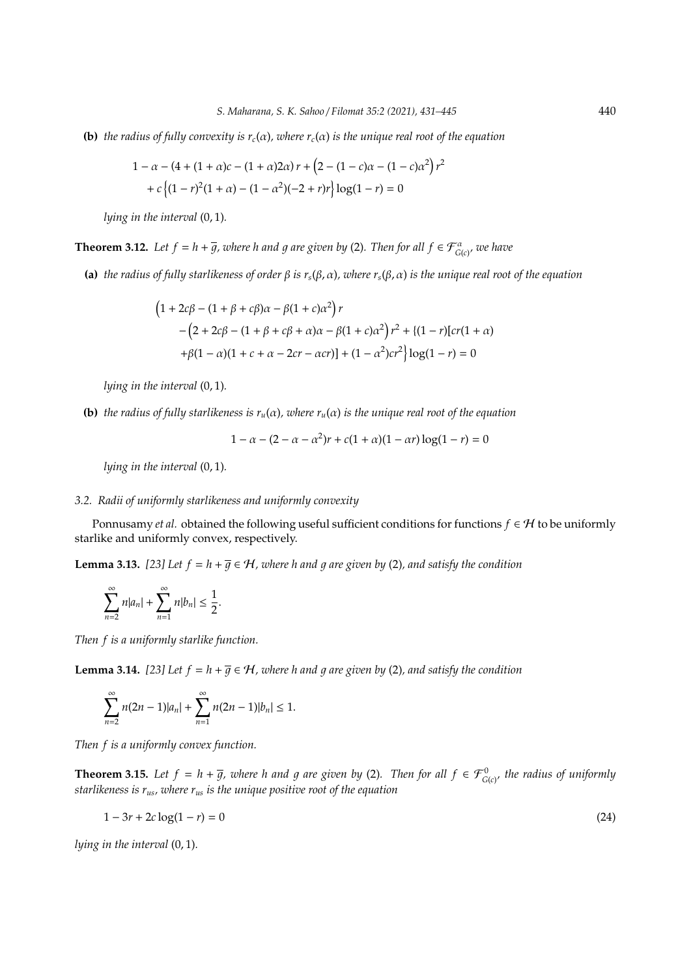**(b)** *the radius of fully convexity is rc*(α)*, where rc*(α) *is the unique real root of the equation*

$$
1 - \alpha - (4 + (1 + \alpha)c - (1 + \alpha)2\alpha)r + (2 - (1 - c)\alpha - (1 - c)\alpha^2)r^2
$$

$$
+ c\{(1 - r)^2(1 + \alpha) - (1 - \alpha^2)(-2 + r)r\}\log(1 - r) = 0
$$

*lying in the interval* (0, 1)*.*

**Theorem 3.12.** Let  $f = h + \overline{g}$ , where h and g are given by (2). Then for all  $f \in \mathcal{F}_{G(c)}^{\alpha}$  we have

**(a)** *the radius of fully starlikeness of order* β *is rs*(β, α)*, where rs*(β, α) *is the unique real root of the equation*

$$
(1 + 2c\beta - (1 + \beta + c\beta)\alpha - \beta(1 + c)\alpha^2)r
$$
  
-(2 + 2c\beta - (1 + \beta + c\beta + \alpha)\alpha - \beta(1 + c)\alpha^2)r^2 + {(1 - r)[cr(1 + \alpha)  
+ \beta(1 - \alpha)(1 + c + \alpha - 2cr - \alpha cr)} + (1 - \alpha^2)cr^2}log(1 - r) = 0

*lying in the interval* (0, 1)*.*

**(b)** *the radius of fully starlikeness is*  $r_u(\alpha)$ *, where*  $r_u(\alpha)$  *is the unique real root of the equation* 

$$
1 - \alpha - (2 - \alpha - \alpha^2)r + c(1 + \alpha)(1 - \alpha r)\log(1 - r) = 0
$$

*lying in the interval* (0, 1)*.*

# *3.2. Radii of uniformly starlikeness and uniformly convexity*

Ponnusamy *et al.* obtained the following useful sufficient conditions for functions  $f \in H$  to be uniformly starlike and uniformly convex, respectively.

**Lemma 3.13.** [23] Let  $f = h + \overline{g} \in H$ , where h and g are given by (2), and satisfy the condition

$$
\sum_{n=2}^\infty n|a_n|+\sum_{n=1}^\infty n|b_n|\leq \frac{1}{2}.
$$

*Then f is a uniformly starlike function.*

**Lemma 3.14.** [23] Let  $f = h + \overline{q} \in H$ , where h and q are given by (2), and satisfy the condition

$$
\sum_{n=2}^{\infty} n(2n-1)|a_n| + \sum_{n=1}^{\infty} n(2n-1)|b_n| \leq 1.
$$

*Then f is a uniformly convex function.*

**Theorem 3.15.** Let  $f = h + \overline{g}$ , where h and g are given by (2). Then for all  $f \in \mathcal{F}_{G(c)}^0$  the radius of uniformly *starlikeness is rus, where rus is the unique positive root of the equation*

$$
1 - 3r + 2c \log(1 - r) = 0 \tag{24}
$$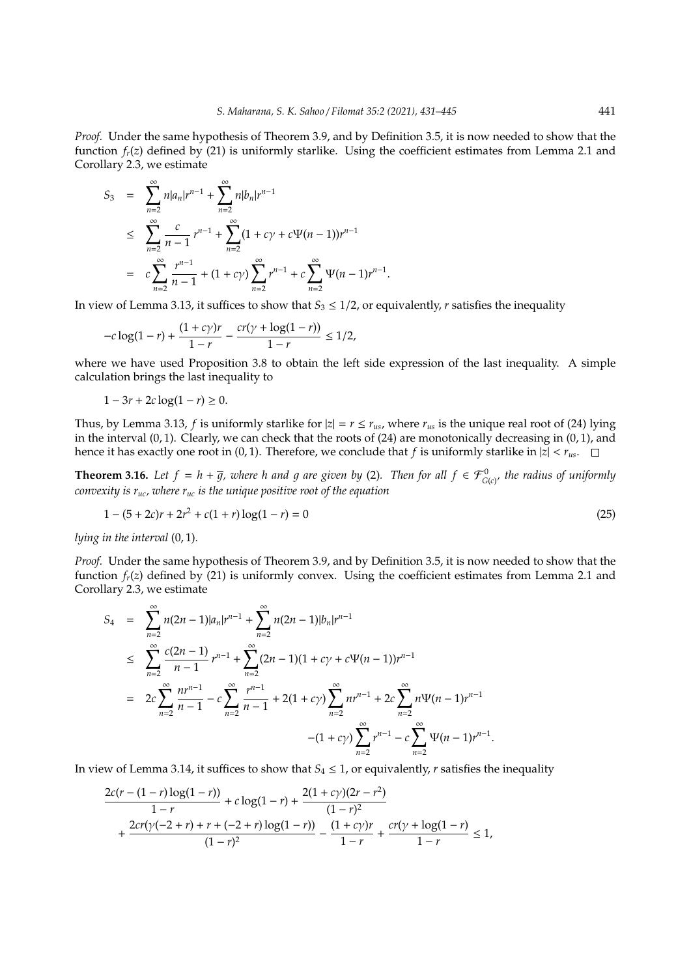*Proof.* Under the same hypothesis of Theorem 3.9, and by Definition 3.5, it is now needed to show that the function  $f_r(z)$  defined by (21) is uniformly starlike. Using the coefficient estimates from Lemma 2.1 and Corollary 2.3, we estimate

$$
S_3 = \sum_{n=2}^{\infty} n |a_n| r^{n-1} + \sum_{n=2}^{\infty} n |b_n| r^{n-1}
$$
  
\n
$$
\leq \sum_{n=2}^{\infty} \frac{c}{n-1} r^{n-1} + \sum_{n=2}^{\infty} (1 + c\gamma + c\Psi(n-1)) r^{n-1}
$$
  
\n
$$
= c \sum_{n=2}^{\infty} \frac{r^{n-1}}{n-1} + (1 + c\gamma) \sum_{n=2}^{\infty} r^{n-1} + c \sum_{n=2}^{\infty} \Psi(n-1) r^{n-1}.
$$

In view of Lemma 3.13, it suffices to show that  $S_3 \leq 1/2$ , or equivalently, *r* satisfies the inequality

$$
-c\log(1-r) + \frac{(1+c\gamma)r}{1-r} - \frac{cr(\gamma + \log(1-r))}{1-r} \le 1/2,
$$

where we have used Proposition 3.8 to obtain the left side expression of the last inequality. A simple calculation brings the last inequality to

$$
1-3r+2c\log(1-r)\geq 0.
$$

Thus, by Lemma 3.13, *f* is uniformly starlike for  $|z| = r \le r_{us}$ , where  $r_{us}$  is the unique real root of (24) lying in the interval  $(0, 1)$ . Clearly, we can check that the roots of  $(24)$  are monotonically decreasing in  $(0, 1)$ , and hence it has exactly one root in (0, 1). Therefore, we conclude that *f* is uniformly starlike in  $|z| < r_{us}$ .

**Theorem 3.16.** Let  $f = h + \overline{g}$ , where h and g are given by (2). Then for all  $f \in \mathcal{F}_{G(c)}^0$ , the radius of uniformly *convexity is ruc, where ruc is the unique positive root of the equation*

$$
1 - (5 + 2c)r + 2r2 + c(1 + r)log(1 - r) = 0
$$
\n(25)

*lying in the interval* (0, 1)*.*

*Proof.* Under the same hypothesis of Theorem 3.9, and by Definition 3.5, it is now needed to show that the function *fr*(*z*) defined by (21) is uniformly convex. Using the coefficient estimates from Lemma 2.1 and Corollary 2.3, we estimate

$$
S_4 = \sum_{n=2}^{\infty} n(2n-1)|a_n|r^{n-1} + \sum_{n=2}^{\infty} n(2n-1)|b_n|r^{n-1}
$$
  
\n
$$
\leq \sum_{n=2}^{\infty} \frac{c(2n-1)}{n-1}r^{n-1} + \sum_{n=2}^{\infty} (2n-1)(1+c\gamma+c\Psi(n-1))r^{n-1}
$$
  
\n
$$
= 2c\sum_{n=2}^{\infty} \frac{nr^{n-1}}{n-1} - c\sum_{n=2}^{\infty} \frac{r^{n-1}}{n-1} + 2(1+c\gamma)\sum_{n=2}^{\infty} nr^{n-1} + 2c\sum_{n=2}^{\infty} n\Psi(n-1)r^{n-1}
$$
  
\n
$$
-(1+c\gamma)\sum_{n=2}^{\infty} r^{n-1} - c\sum_{n=2}^{\infty} \Psi(n-1)r^{n-1}.
$$

In view of Lemma 3.14, it suffices to show that  $S_4 \leq 1$ , or equivalently, *r* satisfies the inequality

$$
\frac{2c(r - (1 - r)\log(1 - r))}{1 - r} + c\log(1 - r) + \frac{2(1 + c\gamma)(2r - r^2)}{(1 - r)^2} + \frac{2cr(\gamma(-2 + r) + r + (-2 + r)\log(1 - r))}{(1 - r)^2} - \frac{(1 + c\gamma)r}{1 - r} + \frac{cr(\gamma + \log(1 - r))}{1 - r} \le 1,
$$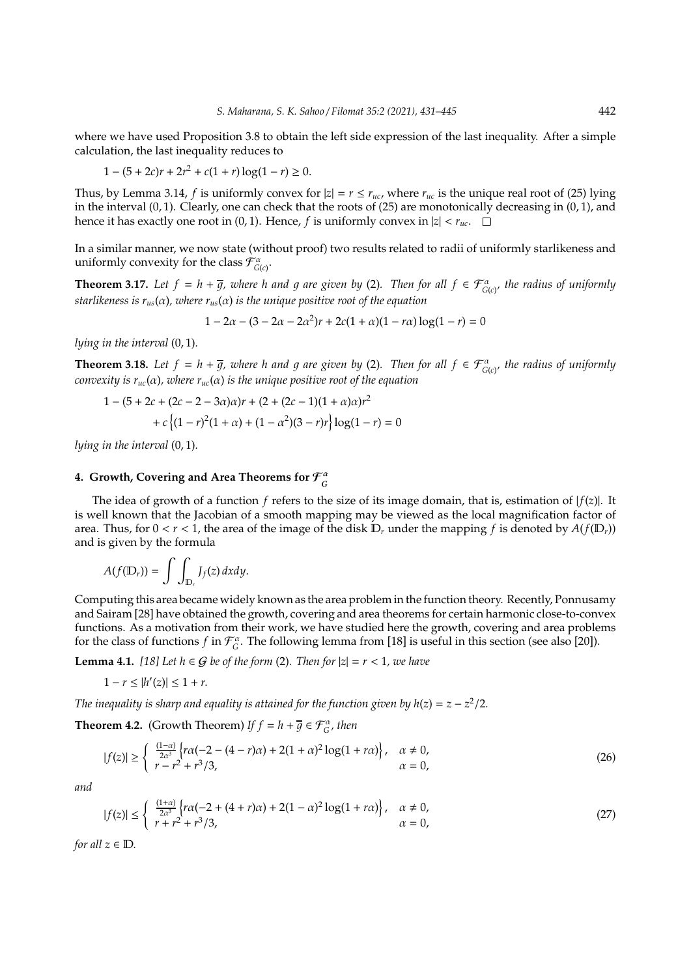where we have used Proposition 3.8 to obtain the left side expression of the last inequality. After a simple calculation, the last inequality reduces to

$$
1 - (5 + 2c)r + 2r^{2} + c(1 + r)\log(1 - r) \ge 0.
$$

Thus, by Lemma 3.14, *f* is uniformly convex for  $|z| = r \le r_{uc}$ , where  $r_{uc}$  is the unique real root of (25) lying in the interval  $(0, 1)$ . Clearly, one can check that the roots of  $(25)$  are monotonically decreasing in  $(0, 1)$ , and hence it has exactly one root in (0, 1). Hence, *f* is uniformly convex in  $|z| < r_{uc}$ .  $\square$ 

In a similar manner, we now state (without proof) two results related to radii of uniformly starlikeness and uniformly convexity for the class  $\mathcal{F}_{G(c)}^{\alpha}$ .

**Theorem 3.17.** Let  $f = h + \overline{g}$ , where h and g are given by (2). Then for all  $f \in \mathcal{F}_{G(c)}^{\alpha}$  the radius of uniformly *starlikeness is*  $r_{us}(\alpha)$ *, where*  $r_{us}(\alpha)$  *is the unique positive root of the equation* 

$$
1 - 2\alpha - (3 - 2\alpha - 2\alpha^2)r + 2c(1 + \alpha)(1 - r\alpha)\log(1 - r) = 0
$$

*lying in the interval* (0, 1)*.*

**Theorem 3.18.** Let  $f = h + \overline{g}$ , where h and g are given by (2). Then for all  $f \in \mathcal{F}_{G(c)}^{\alpha}$  the radius of uniformly *convexity is*  $r_{uc}(\alpha)$ *, where*  $r_{uc}(\alpha)$  *is the unique positive root of the equation* 

$$
1 - (5 + 2c + (2c - 2 - 3\alpha)\alpha)r + (2 + (2c - 1)(1 + \alpha)\alpha)r^2
$$

$$
+ c\{(1 - r)^2(1 + \alpha) + (1 - \alpha^2)(3 - r)r\}\log(1 - r) = 0
$$

*lying in the interval* (0, 1)*.*

#### **4. Growth, Covering and Area Theorems for** F α *G*

The idea of growth of a function  $f$  refers to the size of its image domain, that is, estimation of  $|f(z)|$ . It is well known that the Jacobian of a smooth mapping may be viewed as the local magnification factor of area. Thus, for  $0 < r < 1$ , the area of the image of the disk  $\mathbb{D}_r$  under the mapping f is denoted by  $A(f(\mathbb{D}_r))$ and is given by the formula

$$
A(f(\mathbb{D}_r))=\int\int_{\mathbb{D}_r}J_f(z)\,dxdy.
$$

Computing this area became widely known as the area problem in the function theory. Recently, Ponnusamy and Sairam [28] have obtained the growth, covering and area theorems for certain harmonic close-to-convex functions. As a motivation from their work, we have studied here the growth, covering and area problems for the class of functions  $f$  in  $\mathcal{F}_G^{\alpha}$ . The following lemma from [18] is useful in this section (see also [20]).

**Lemma 4.1.** [18] Let  $h$  ∈  $G$  be of the form (2). Then for  $|z| = r < 1$ , we have

$$
1 - r \le |h'(z)| \le 1 + r.
$$

*The inequality is sharp and equality is attained for the function given by*  $h(z) = z - z^2/2$ *.* 

**Theorem 4.2.** (Growth Theorem) *If*  $f = h + \overline{g} \in \mathcal{F}_{G}^{\alpha}$ , then

$$
|f(z)| \ge \begin{cases} \frac{(1-\alpha)}{2\alpha^3} \left\{ r\alpha(-2 - (4-r)\alpha) + 2(1+\alpha)^2 \log(1+r\alpha) \right\}, & \alpha \neq 0, \\ r - r^2 + r^3/3, & \alpha = 0, \end{cases}
$$
 (26)

*and*

$$
|f(z)| \le \begin{cases} \frac{(1+\alpha)}{2\alpha^3} \left\{ r\alpha(-2 + (4+r)\alpha) + 2(1-\alpha)^2 \log(1+r\alpha) \right\}, & \alpha \neq 0, \\ r + r^2 + r^3/3, & \alpha = 0, \end{cases}
$$
(27)

*for all*  $z \in \mathbb{D}$ *.*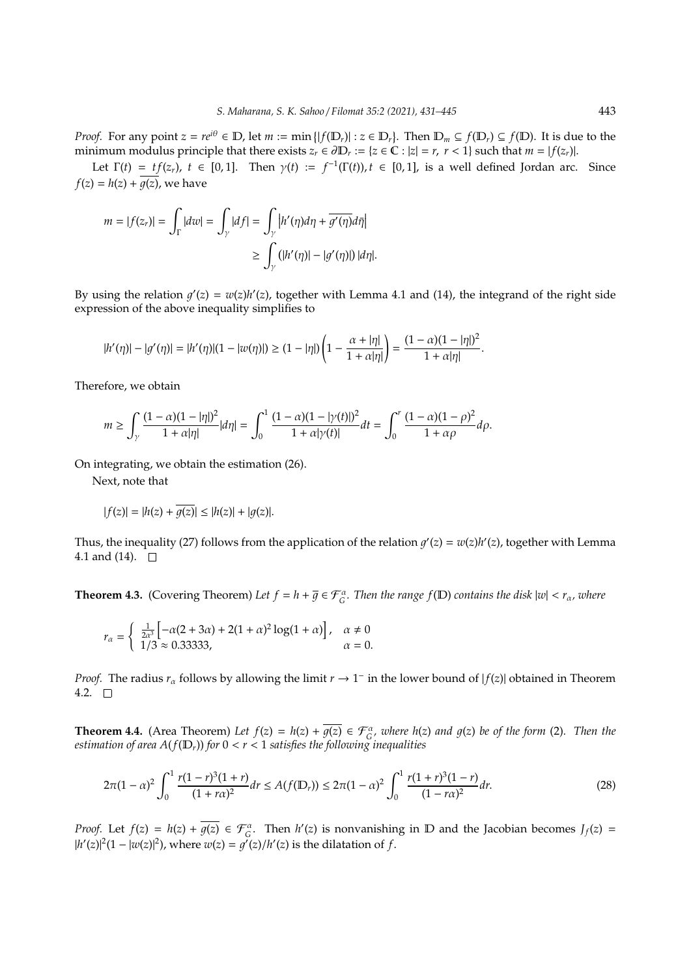*Proof.* For any point  $z = re^{i\theta} \in \mathbb{D}$ , let  $m := \min\{|f(\mathbb{D}_r)| : z \in \mathbb{D}_r\}$ . Then  $\mathbb{D}_m \subseteq f(\mathbb{D}_r) \subseteq f(\mathbb{D})$ . It is due to the minimum modulus principle that there exists  $z_r \in \partial \mathbb{D}_r := \{z \in \mathbb{C} : |z| = r, r < 1\}$  such that  $m = |f(z_r)|$ .

Let  $\Gamma(t) = tf(z_r)$ ,  $t \in [0,1]$ . Then  $\gamma(t) := f^{-1}(\Gamma(t))$ ,  $t \in [0,1]$ , is a well defined Jordan arc. Since  $f(z) = h(z) + \overline{g(z)}$ , we have

$$
m = |f(z_r)| = \int_{\Gamma} |dw| = \int_{\gamma} |df| = \int_{\gamma} |h'(\eta)d\eta + \overline{g'(\eta)}d\overline{\eta}|
$$
  

$$
\geq \int_{\gamma} (|h'(\eta)| - |g'(\eta)|) |d\eta|.
$$

By using the relation  $g'(z) = w(z)h'(z)$ , together with Lemma 4.1 and (14), the integrand of the right side expression of the above inequality simplifies to

$$
|h'(\eta)| - |g'(\eta)| = |h'(\eta)|(1 - |w(\eta)|) \ge (1 - |\eta|)\left(1 - \frac{\alpha + |\eta|}{1 + \alpha|\eta|}\right) = \frac{(1 - \alpha)(1 - |\eta|)^2}{1 + \alpha|\eta|}.
$$

Therefore, we obtain

$$
m \geq \int_{\gamma} \frac{(1-\alpha)(1-|\eta|)^2}{1+\alpha|\eta|} d\eta| = \int_0^1 \frac{(1-\alpha)(1-|\gamma(t)|)^2}{1+\alpha|\gamma(t)|} dt = \int_0^r \frac{(1-\alpha)(1-\rho)^2}{1+\alpha\rho} d\rho.
$$

On integrating, we obtain the estimation (26).

Next, note that

$$
|f(z)| = |h(z) + \overline{g(z)}| \le |h(z)| + |g(z)|.
$$

Thus, the inequality (27) follows from the application of the relation  $g'(z) = w(z)h'(z)$ , together with Lemma 4.1 and (14).  $\square$ 

**Theorem 4.3.** (Covering Theorem) Let  $f = h + \overline{g} \in \mathcal{F}_G^{\alpha}$ . Then the range  $f(D)$  contains the disk  $|w| < r_\alpha$ , where

$$
r_{\alpha} = \begin{cases} \frac{1}{2\alpha^3} \left[ -\alpha(2+3\alpha) + 2(1+\alpha)^2 \log(1+\alpha) \right], & \alpha \neq 0\\ 1/3 \approx 0.33333, & \alpha = 0. \end{cases}
$$

*Proof.* The radius  $r_\alpha$  follows by allowing the limit  $r \to 1^-$  in the lower bound of  $|f(z)|$  obtained in Theorem 4.2.  $\Box$ 

**Theorem 4.4.** (Area Theorem) Let  $f(z) = h(z) + \overline{g(z)} \in \mathcal{F}_G^{\alpha}$ , where  $h(z)$  and  $g(z)$  be of the form (2). Then the *estimation of area*  $A(f(D_r))$  *for*  $0 < r < 1$  *satisfies the following inequalities* 

$$
2\pi(1-\alpha)^2 \int_0^1 \frac{r(1-r)^3(1+r)}{(1+r\alpha)^2} dr \le A(f(\mathbb{D}_r)) \le 2\pi(1-\alpha)^2 \int_0^1 \frac{r(1+r)^3(1-r)}{(1-r\alpha)^2} dr. \tag{28}
$$

*Proof.* Let  $f(z) = h(z) + \overline{g(z)} \in \mathcal{F}_G^{\alpha}$ . Then  $h'(z)$  is nonvanishing in D and the Jacobian becomes  $J_f(z)$  $|h'(z)|^2(1-|w(z)|^2)$ , where  $w(z) = g'(z)/h'(z)$  is the dilatation of *f*.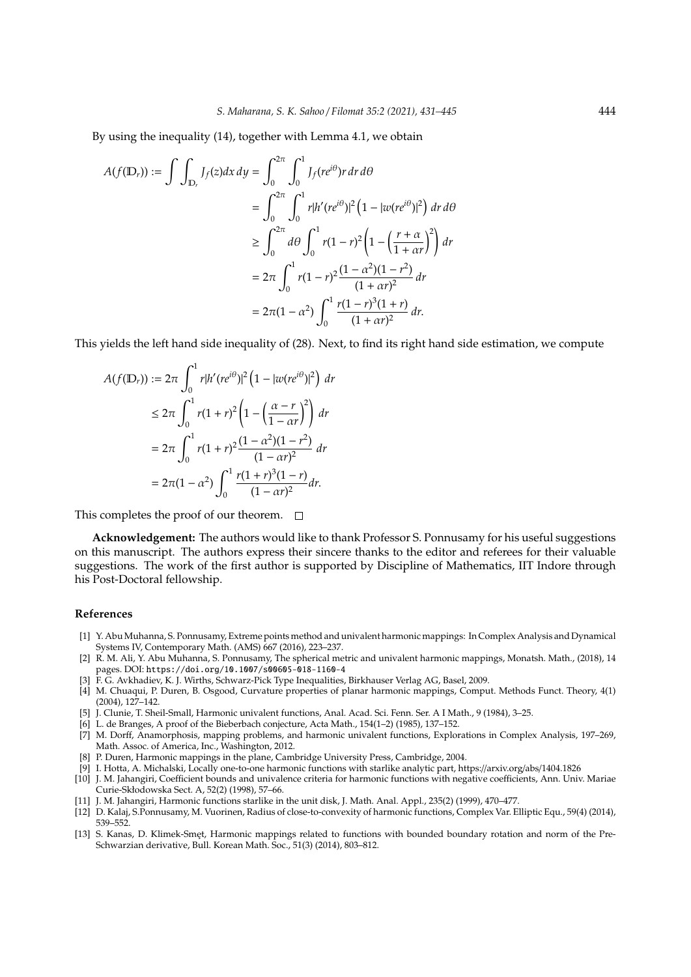By using the inequality (14), together with Lemma 4.1, we obtain

$$
A(f(\mathbb{D}_r)) := \int \int_{\mathbb{D}_r} J_f(z) dx dy = \int_0^{2\pi} \int_0^1 J_f(re^{i\theta}) r dr d\theta
$$
  
= 
$$
\int_0^{2\pi} \int_0^1 r |h'(re^{i\theta})|^2 (1 - |w(re^{i\theta})|^2) dr d\theta
$$
  

$$
\geq \int_0^{2\pi} d\theta \int_0^1 r (1 - r)^2 (1 - (\frac{r + \alpha}{1 + \alpha r})^2) dr
$$
  
= 
$$
2\pi \int_0^1 r (1 - r)^2 \frac{(1 - \alpha^2)(1 - r^2)}{(1 + \alpha r)^2} dr
$$
  
= 
$$
2\pi (1 - \alpha^2) \int_0^1 \frac{r (1 - r)^3 (1 + r)}{(1 + \alpha r)^2} dr.
$$

This yields the left hand side inequality of (28). Next, to find its right hand side estimation, we compute

$$
A(f(\mathbb{D}_r)) := 2\pi \int_0^1 r|h'(re^{i\theta})|^2 (1 - |w(re^{i\theta})|^2) dr
$$
  
\n
$$
\leq 2\pi \int_0^1 r(1+r)^2 (1 - \left(\frac{\alpha - r}{1 - \alpha r}\right)^2) dr
$$
  
\n
$$
= 2\pi \int_0^1 r(1+r)^2 \frac{(1 - \alpha^2)(1 - r^2)}{(1 - \alpha r)^2} dr
$$
  
\n
$$
= 2\pi (1 - \alpha^2) \int_0^1 \frac{r(1+r)^3 (1-r)}{(1 - \alpha r)^2} dr.
$$

This completes the proof of our theorem.  $\Box$ 

**Acknowledgement:** The authors would like to thank Professor S. Ponnusamy for his useful suggestions on this manuscript. The authors express their sincere thanks to the editor and referees for their valuable suggestions. The work of the first author is supported by Discipline of Mathematics, IIT Indore through his Post-Doctoral fellowship.

#### **References**

- [1] Y. Abu Muhanna, S. Ponnusamy, Extreme points method and univalent harmonic mappings: In Complex Analysis and Dynamical Systems IV, Contemporary Math. (AMS) 667 (2016), 223–237.
- [2] R. M. Ali, Y. Abu Muhanna, S. Ponnusamy, The spherical metric and univalent harmonic mappings, Monatsh. Math., (2018), 14 pages. DOI: https://doi.org/10.1007/s00605-018-1160-4
- [3] F. G. Avkhadiev, K. J. Wirths, Schwarz-Pick Type Inequalities, Birkhauser Verlag AG, Basel, 2009.
- [4] M. Chuaqui, P. Duren, B. Osgood, Curvature properties of planar harmonic mappings, Comput. Methods Funct. Theory, 4(1) (2004), 127–142.
- [5] J. Clunie, T. Sheil-Small, Harmonic univalent functions, Anal. Acad. Sci. Fenn. Ser. A I Math., 9 (1984), 3–25.
- [6] L. de Branges, A proof of the Bieberbach conjecture, Acta Math., 154(1–2) (1985), 137–152.
- [7] M. Dorff, Anamorphosis, mapping problems, and harmonic univalent functions, Explorations in Complex Analysis, 197–269, Math. Assoc. of America, Inc., Washington, 2012.
- [8] P. Duren, Harmonic mappings in the plane, Cambridge University Press, Cambridge, 2004.
- [9] I. Hotta, A. Michalski, Locally one-to-one harmonic functions with starlike analytic part, https://arxiv.org/abs/1404.1826
- [10] J. M. Jahangiri, Coefficient bounds and univalence criteria for harmonic functions with negative coefficients, Ann. Univ. Mariae Curie-Skłodowska Sect. A, 52(2) (1998), 57–66.
- [11] J. M. Jahangiri, Harmonic functions starlike in the unit disk, J. Math. Anal. Appl., 235(2) (1999), 470–477.
- [12] D. Kalaj, S.Ponnusamy, M. Vuorinen, Radius of close-to-convexity of harmonic functions, Complex Var. Elliptic Equ., 59(4) (2014), 539–552.
- [13] S. Kanas, D. Klimek-Smet, Harmonic mappings related to functions with bounded boundary rotation and norm of the Pre-Schwarzian derivative, Bull. Korean Math. Soc., 51(3) (2014), 803–812.